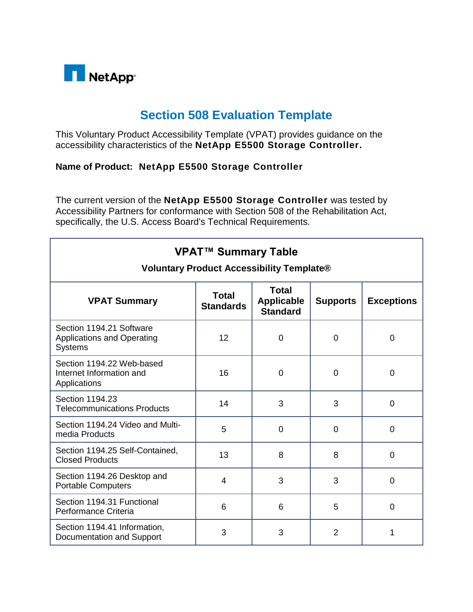

## **Section 508 Evaluation Template**

This Voluntary Product Accessibility Template (VPAT) provides guidance on the accessibility characteristics of the **NetApp E5500 Storage Controller.**

## **Name of Product: NetApp E5500 Storage Controller**

The current version of the **NetApp E5500 Storage Controller** was tested by Accessibility Partners for conformance with Section 508 of the Rehabilitation Act, specifically, the U.S. Access Board's Technical Requirements.

| <b>VPAT™ Summary Table</b><br><b>Voluntary Product Accessibility Template®</b>  |                                  |                                                      |                 |                   |
|---------------------------------------------------------------------------------|----------------------------------|------------------------------------------------------|-----------------|-------------------|
| <b>VPAT Summary</b>                                                             | <b>Total</b><br><b>Standards</b> | <b>Total</b><br><b>Applicable</b><br><b>Standard</b> | <b>Supports</b> | <b>Exceptions</b> |
| Section 1194.21 Software<br><b>Applications and Operating</b><br><b>Systems</b> | 12                               | $\mathbf 0$                                          | $\overline{0}$  | $\overline{0}$    |
| Section 1194.22 Web-based<br>Internet Information and<br>Applications           | 16                               | $\mathbf 0$                                          | $\overline{0}$  | 0                 |
| Section 1194.23<br><b>Telecommunications Products</b>                           | 14                               | 3                                                    | 3               | 0                 |
| Section 1194.24 Video and Multi-<br>media Products                              | 5                                | $\overline{0}$                                       | $\Omega$        | $\Omega$          |
| Section 1194.25 Self-Contained,<br><b>Closed Products</b>                       | 13                               | 8                                                    | 8               | 0                 |
| Section 1194.26 Desktop and<br><b>Portable Computers</b>                        | 4                                | 3                                                    | 3               | $\Omega$          |
| Section 1194.31 Functional<br>Performance Criteria                              | 6                                | 6                                                    | 5               | $\Omega$          |
| Section 1194.41 Information,<br>Documentation and Support                       | 3                                | 3                                                    | $\overline{2}$  | 1                 |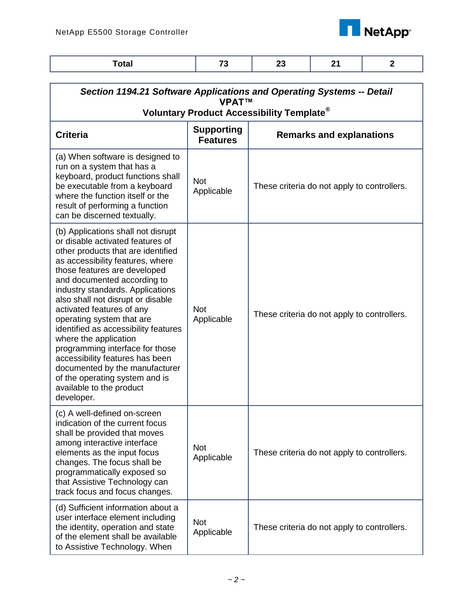

| <b>Total</b>                                                                                                                                                                                                                                                                                                                                                                                                                                                                                                                                                                                            | 73                                   | 23                                          | 21                              | $\overline{2}$ |
|---------------------------------------------------------------------------------------------------------------------------------------------------------------------------------------------------------------------------------------------------------------------------------------------------------------------------------------------------------------------------------------------------------------------------------------------------------------------------------------------------------------------------------------------------------------------------------------------------------|--------------------------------------|---------------------------------------------|---------------------------------|----------------|
| Section 1194.21 Software Applications and Operating Systems -- Detail<br><b>VPAT™</b><br>Voluntary Product Accessibility Template <sup>®</sup>                                                                                                                                                                                                                                                                                                                                                                                                                                                          |                                      |                                             |                                 |                |
| <b>Criteria</b>                                                                                                                                                                                                                                                                                                                                                                                                                                                                                                                                                                                         | <b>Supporting</b><br><b>Features</b> |                                             | <b>Remarks and explanations</b> |                |
| (a) When software is designed to<br>run on a system that has a<br>keyboard, product functions shall<br>be executable from a keyboard<br>where the function itself or the<br>result of performing a function<br>can be discerned textually.                                                                                                                                                                                                                                                                                                                                                              | <b>Not</b><br>Applicable             | These criteria do not apply to controllers. |                                 |                |
| (b) Applications shall not disrupt<br>or disable activated features of<br>other products that are identified<br>as accessibility features, where<br>those features are developed<br>and documented according to<br>industry standards. Applications<br>also shall not disrupt or disable<br>activated features of any<br>operating system that are<br>identified as accessibility features<br>where the application<br>programming interface for those<br>accessibility features has been<br>documented by the manufacturer<br>of the operating system and is<br>available to the product<br>developer. | <b>Not</b><br>Applicable             | These criteria do not apply to controllers. |                                 |                |
| (c) A well-defined on-screen<br>indication of the current focus<br>shall be provided that moves<br>among interactive interface<br>elements as the input focus<br>changes. The focus shall be<br>programmatically exposed so<br>that Assistive Technology can<br>track focus and focus changes.                                                                                                                                                                                                                                                                                                          | <b>Not</b><br>Applicable             | These criteria do not apply to controllers. |                                 |                |
| (d) Sufficient information about a<br>user interface element including<br>the identity, operation and state<br>of the element shall be available<br>to Assistive Technology. When                                                                                                                                                                                                                                                                                                                                                                                                                       | <b>Not</b><br>Applicable             | These criteria do not apply to controllers. |                                 |                |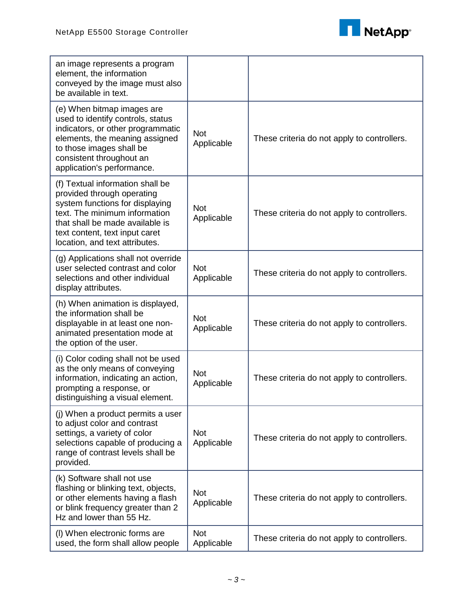

| an image represents a program<br>element, the information<br>conveyed by the image must also<br>be available in text.                                                                                                                     |                          |                                             |
|-------------------------------------------------------------------------------------------------------------------------------------------------------------------------------------------------------------------------------------------|--------------------------|---------------------------------------------|
| (e) When bitmap images are<br>used to identify controls, status<br>indicators, or other programmatic<br>elements, the meaning assigned<br>to those images shall be<br>consistent throughout an<br>application's performance.              | <b>Not</b><br>Applicable | These criteria do not apply to controllers. |
| (f) Textual information shall be<br>provided through operating<br>system functions for displaying<br>text. The minimum information<br>that shall be made available is<br>text content, text input caret<br>location, and text attributes. | <b>Not</b><br>Applicable | These criteria do not apply to controllers. |
| (g) Applications shall not override<br>user selected contrast and color<br>selections and other individual<br>display attributes.                                                                                                         | <b>Not</b><br>Applicable | These criteria do not apply to controllers. |
| (h) When animation is displayed,<br>the information shall be<br>displayable in at least one non-<br>animated presentation mode at<br>the option of the user.                                                                              | <b>Not</b><br>Applicable | These criteria do not apply to controllers. |
| (i) Color coding shall not be used<br>as the only means of conveying<br>information, indicating an action,<br>prompting a response, or<br>distinguishing a visual element.                                                                | <b>Not</b><br>Applicable | These criteria do not apply to controllers. |
| (j) When a product permits a user<br>to adjust color and contrast<br>settings, a variety of color<br>selections capable of producing a<br>range of contrast levels shall be<br>provided.                                                  | <b>Not</b><br>Applicable | These criteria do not apply to controllers. |
| (k) Software shall not use<br>flashing or blinking text, objects,<br>or other elements having a flash<br>or blink frequency greater than 2<br>Hz and lower than 55 Hz.                                                                    | <b>Not</b><br>Applicable | These criteria do not apply to controllers. |
| (I) When electronic forms are<br>used, the form shall allow people                                                                                                                                                                        | <b>Not</b><br>Applicable | These criteria do not apply to controllers. |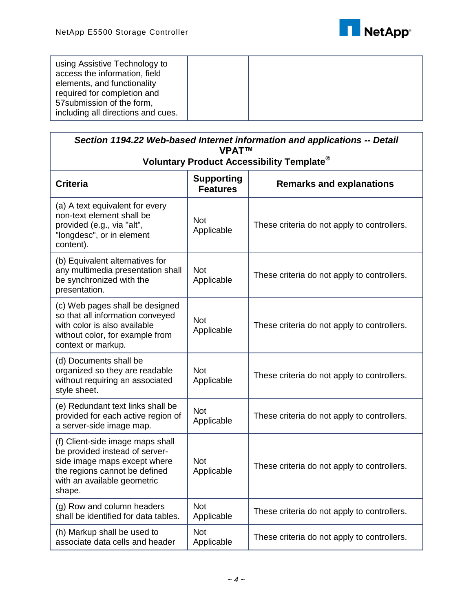

| using Assistive Technology to<br>access the information, field<br>elements, and functionality |  |  |
|-----------------------------------------------------------------------------------------------|--|--|
| required for completion and                                                                   |  |  |
| 57 submission of the form,                                                                    |  |  |
| including all directions and cues.                                                            |  |  |

| Section 1194.22 Web-based Internet information and applications -- Detail<br><b>VPAT™</b>                                                                                    |                                      |                                             |  |
|------------------------------------------------------------------------------------------------------------------------------------------------------------------------------|--------------------------------------|---------------------------------------------|--|
| Voluntary Product Accessibility Template <sup>®</sup>                                                                                                                        |                                      |                                             |  |
| <b>Criteria</b>                                                                                                                                                              | <b>Supporting</b><br><b>Features</b> | <b>Remarks and explanations</b>             |  |
| (a) A text equivalent for every<br>non-text element shall be<br>provided (e.g., via "alt",<br>"longdesc", or in element<br>content).                                         | <b>Not</b><br>Applicable             | These criteria do not apply to controllers. |  |
| (b) Equivalent alternatives for<br>any multimedia presentation shall<br>be synchronized with the<br>presentation.                                                            | <b>Not</b><br>Applicable             | These criteria do not apply to controllers. |  |
| (c) Web pages shall be designed<br>so that all information conveyed<br>with color is also available<br>without color, for example from<br>context or markup.                 | <b>Not</b><br>Applicable             | These criteria do not apply to controllers. |  |
| (d) Documents shall be<br>organized so they are readable<br>without requiring an associated<br>style sheet.                                                                  | <b>Not</b><br>Applicable             | These criteria do not apply to controllers. |  |
| (e) Redundant text links shall be<br>provided for each active region of<br>a server-side image map.                                                                          | <b>Not</b><br>Applicable             | These criteria do not apply to controllers. |  |
| (f) Client-side image maps shall<br>be provided instead of server-<br>side image maps except where<br>the regions cannot be defined<br>with an available geometric<br>shape. | <b>Not</b><br>Applicable             | These criteria do not apply to controllers. |  |
| (g) Row and column headers<br>shall be identified for data tables.                                                                                                           | <b>Not</b><br>Applicable             | These criteria do not apply to controllers. |  |
| (h) Markup shall be used to<br>associate data cells and header                                                                                                               | <b>Not</b><br>Applicable             | These criteria do not apply to controllers. |  |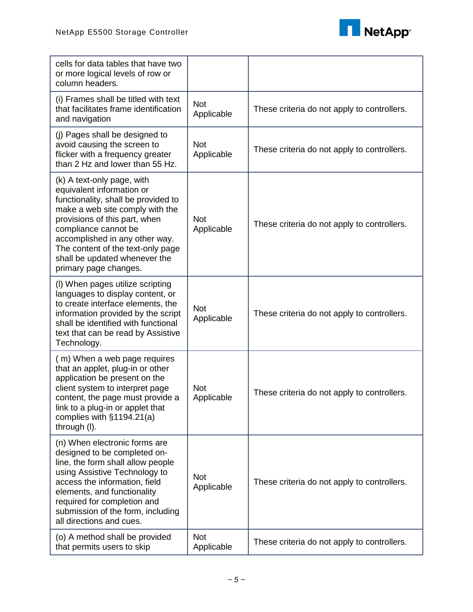

| cells for data tables that have two<br>or more logical levels of row or<br>column headers.                                                                                                                                                                                                                                  |                          |                                             |
|-----------------------------------------------------------------------------------------------------------------------------------------------------------------------------------------------------------------------------------------------------------------------------------------------------------------------------|--------------------------|---------------------------------------------|
| (i) Frames shall be titled with text<br>that facilitates frame identification<br>and navigation                                                                                                                                                                                                                             | <b>Not</b><br>Applicable | These criteria do not apply to controllers. |
| (j) Pages shall be designed to<br>avoid causing the screen to<br>flicker with a frequency greater<br>than 2 Hz and lower than 55 Hz.                                                                                                                                                                                        | <b>Not</b><br>Applicable | These criteria do not apply to controllers. |
| (k) A text-only page, with<br>equivalent information or<br>functionality, shall be provided to<br>make a web site comply with the<br>provisions of this part, when<br>compliance cannot be<br>accomplished in any other way.<br>The content of the text-only page<br>shall be updated whenever the<br>primary page changes. | <b>Not</b><br>Applicable | These criteria do not apply to controllers. |
| (I) When pages utilize scripting<br>languages to display content, or<br>to create interface elements, the<br>information provided by the script<br>shall be identified with functional<br>text that can be read by Assistive<br>Technology.                                                                                 | <b>Not</b><br>Applicable | These criteria do not apply to controllers. |
| (m) When a web page requires<br>that an applet, plug-in or other<br>application be present on the<br>client system to interpret page<br>content, the page must provide a<br>link to a plug-in or applet that<br>complies with §1194.21(a)<br>through (I).                                                                   | <b>Not</b><br>Applicable | These criteria do not apply to controllers. |
| (n) When electronic forms are<br>designed to be completed on-<br>line, the form shall allow people<br>using Assistive Technology to<br>access the information, field<br>elements, and functionality<br>required for completion and<br>submission of the form, including<br>all directions and cues.                         | <b>Not</b><br>Applicable | These criteria do not apply to controllers. |
| (o) A method shall be provided<br>that permits users to skip                                                                                                                                                                                                                                                                | <b>Not</b><br>Applicable | These criteria do not apply to controllers. |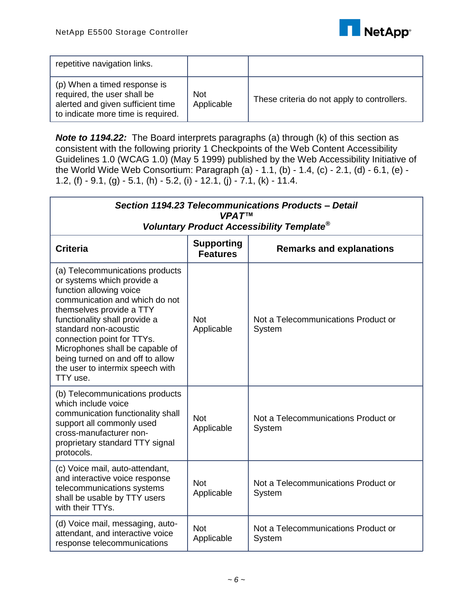

| repetitive navigation links.                                                                                                           |                          |                                             |
|----------------------------------------------------------------------------------------------------------------------------------------|--------------------------|---------------------------------------------|
| (p) When a timed response is<br>required, the user shall be<br>alerted and given sufficient time<br>to indicate more time is required. | <b>Not</b><br>Applicable | These criteria do not apply to controllers. |

*Note to 1194.22:* The Board interprets paragraphs (a) through (k) of this section as consistent with the following priority 1 Checkpoints of the Web Content Accessibility Guidelines 1.0 (WCAG 1.0) (May 5 1999) published by the Web Accessibility Initiative of the World Wide Web Consortium: Paragraph (a) - 1.1, (b) - 1.4, (c) - 2.1, (d) - 6.1, (e) - 1.2, (f) - 9.1, (g) - 5.1, (h) - 5.2, (i) - 12.1, (j) - 7.1, (k) - 11.4.

| Section 1194.23 Telecommunications Products - Detail<br><b>VPATTM</b>                                                                                                                                                                                                                                                                                                 |                          |                                               |  |
|-----------------------------------------------------------------------------------------------------------------------------------------------------------------------------------------------------------------------------------------------------------------------------------------------------------------------------------------------------------------------|--------------------------|-----------------------------------------------|--|
| Voluntary Product Accessibility Template <sup>®</sup><br><b>Supporting</b><br><b>Criteria</b><br><b>Remarks and explanations</b><br><b>Features</b>                                                                                                                                                                                                                   |                          |                                               |  |
| (a) Telecommunications products<br>or systems which provide a<br>function allowing voice<br>communication and which do not<br>themselves provide a TTY<br>functionality shall provide a<br>standard non-acoustic<br>connection point for TTYs.<br>Microphones shall be capable of<br>being turned on and off to allow<br>the user to intermix speech with<br>TTY use. | <b>Not</b><br>Applicable | Not a Telecommunications Product or<br>System |  |
| (b) Telecommunications products<br>which include voice<br>communication functionality shall<br>support all commonly used<br>cross-manufacturer non-<br>proprietary standard TTY signal<br>protocols.                                                                                                                                                                  | <b>Not</b><br>Applicable | Not a Telecommunications Product or<br>System |  |
| (c) Voice mail, auto-attendant,<br>and interactive voice response<br>telecommunications systems<br>shall be usable by TTY users<br>with their TTYs.                                                                                                                                                                                                                   | <b>Not</b><br>Applicable | Not a Telecommunications Product or<br>System |  |
| (d) Voice mail, messaging, auto-<br>attendant, and interactive voice<br>response telecommunications                                                                                                                                                                                                                                                                   | <b>Not</b><br>Applicable | Not a Telecommunications Product or<br>System |  |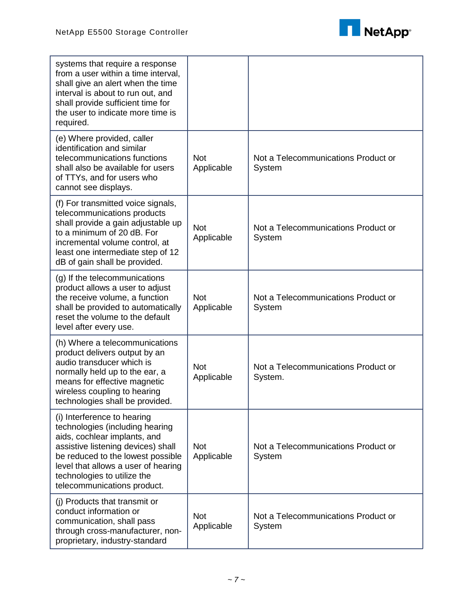

| systems that require a response<br>from a user within a time interval,<br>shall give an alert when the time<br>interval is about to run out, and<br>shall provide sufficient time for<br>the user to indicate more time is<br>required.                                        |                          |                                                |
|--------------------------------------------------------------------------------------------------------------------------------------------------------------------------------------------------------------------------------------------------------------------------------|--------------------------|------------------------------------------------|
| (e) Where provided, caller<br>identification and similar<br>telecommunications functions<br>shall also be available for users<br>of TTYs, and for users who<br>cannot see displays.                                                                                            | <b>Not</b><br>Applicable | Not a Telecommunications Product or<br>System  |
| (f) For transmitted voice signals,<br>telecommunications products<br>shall provide a gain adjustable up<br>to a minimum of 20 dB. For<br>incremental volume control, at<br>least one intermediate step of 12<br>dB of gain shall be provided.                                  | <b>Not</b><br>Applicable | Not a Telecommunications Product or<br>System  |
| (g) If the telecommunications<br>product allows a user to adjust<br>the receive volume, a function<br>shall be provided to automatically<br>reset the volume to the default<br>level after every use.                                                                          | <b>Not</b><br>Applicable | Not a Telecommunications Product or<br>System  |
| (h) Where a telecommunications<br>product delivers output by an<br>audio transducer which is<br>normally held up to the ear, a<br>means for effective magnetic<br>wireless coupling to hearing<br>technologies shall be provided.                                              | <b>Not</b><br>Applicable | Not a Telecommunications Product or<br>System. |
| (i) Interference to hearing<br>technologies (including hearing<br>aids, cochlear implants, and<br>assistive listening devices) shall<br>be reduced to the lowest possible<br>level that allows a user of hearing<br>technologies to utilize the<br>telecommunications product. | <b>Not</b><br>Applicable | Not a Telecommunications Product or<br>System  |
| (j) Products that transmit or<br>conduct information or<br>communication, shall pass<br>through cross-manufacturer, non-<br>proprietary, industry-standard                                                                                                                     | <b>Not</b><br>Applicable | Not a Telecommunications Product or<br>System  |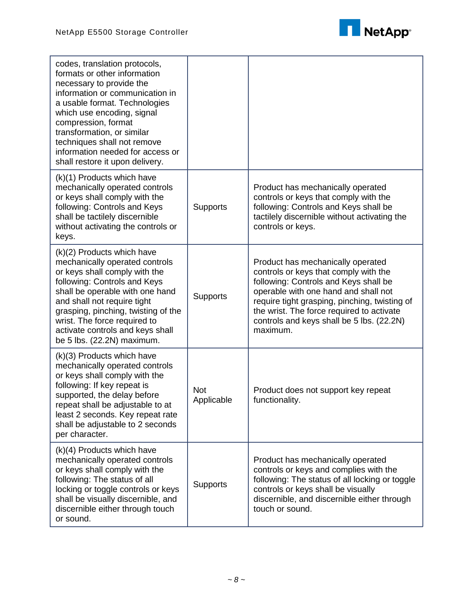

| codes, translation protocols,<br>formats or other information<br>necessary to provide the<br>information or communication in<br>a usable format. Technologies<br>which use encoding, signal<br>compression, format<br>transformation, or similar<br>techniques shall not remove<br>information needed for access or<br>shall restore it upon delivery. |                          |                                                                                                                                                                                                                                                                                                                    |
|--------------------------------------------------------------------------------------------------------------------------------------------------------------------------------------------------------------------------------------------------------------------------------------------------------------------------------------------------------|--------------------------|--------------------------------------------------------------------------------------------------------------------------------------------------------------------------------------------------------------------------------------------------------------------------------------------------------------------|
| (k)(1) Products which have<br>mechanically operated controls<br>or keys shall comply with the<br>following: Controls and Keys<br>shall be tactilely discernible<br>without activating the controls or<br>keys.                                                                                                                                         | <b>Supports</b>          | Product has mechanically operated<br>controls or keys that comply with the<br>following: Controls and Keys shall be<br>tactilely discernible without activating the<br>controls or keys.                                                                                                                           |
| (k)(2) Products which have<br>mechanically operated controls<br>or keys shall comply with the<br>following: Controls and Keys<br>shall be operable with one hand<br>and shall not require tight<br>grasping, pinching, twisting of the<br>wrist. The force required to<br>activate controls and keys shall<br>be 5 lbs. (22.2N) maximum.               | <b>Supports</b>          | Product has mechanically operated<br>controls or keys that comply with the<br>following: Controls and Keys shall be<br>operable with one hand and shall not<br>require tight grasping, pinching, twisting of<br>the wrist. The force required to activate<br>controls and keys shall be 5 lbs. (22.2N)<br>maximum. |
| $(k)(3)$ Products which have<br>mechanically operated controls<br>or keys shall comply with the<br>following: If key repeat is<br>supported, the delay before<br>repeat shall be adjustable to at<br>least 2 seconds. Key repeat rate<br>shall be adjustable to 2 seconds<br>per character.                                                            | <b>Not</b><br>Applicable | Product does not support key repeat<br>functionality.                                                                                                                                                                                                                                                              |
| (k)(4) Products which have<br>mechanically operated controls<br>or keys shall comply with the<br>following: The status of all<br>locking or toggle controls or keys<br>shall be visually discernible, and<br>discernible either through touch<br>or sound.                                                                                             | <b>Supports</b>          | Product has mechanically operated<br>controls or keys and complies with the<br>following: The status of all locking or toggle<br>controls or keys shall be visually<br>discernible, and discernible either through<br>touch or sound.                                                                              |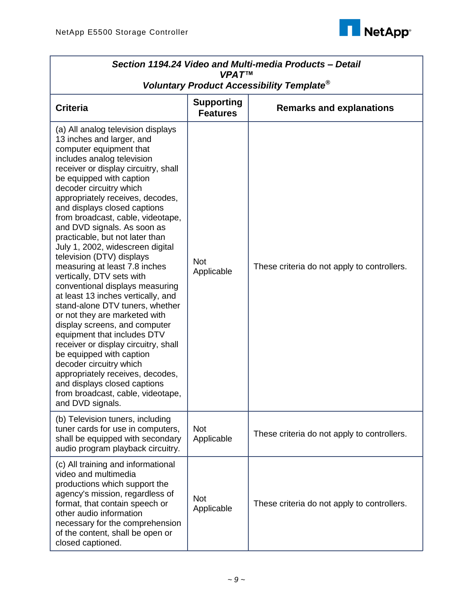

| Section 1194.24 Video and Multi-media Products - Detail<br><b>VPAT™</b>                                                                                                                                                                                                                                                                                                                                                                                                                                                                                                                                                                                                                                                                                                                                                                                                                                                                                                    |                                      |                                             |  |
|----------------------------------------------------------------------------------------------------------------------------------------------------------------------------------------------------------------------------------------------------------------------------------------------------------------------------------------------------------------------------------------------------------------------------------------------------------------------------------------------------------------------------------------------------------------------------------------------------------------------------------------------------------------------------------------------------------------------------------------------------------------------------------------------------------------------------------------------------------------------------------------------------------------------------------------------------------------------------|--------------------------------------|---------------------------------------------|--|
| Voluntary Product Accessibility Template®                                                                                                                                                                                                                                                                                                                                                                                                                                                                                                                                                                                                                                                                                                                                                                                                                                                                                                                                  |                                      |                                             |  |
| <b>Criteria</b>                                                                                                                                                                                                                                                                                                                                                                                                                                                                                                                                                                                                                                                                                                                                                                                                                                                                                                                                                            | <b>Supporting</b><br><b>Features</b> | <b>Remarks and explanations</b>             |  |
| (a) All analog television displays<br>13 inches and larger, and<br>computer equipment that<br>includes analog television<br>receiver or display circuitry, shall<br>be equipped with caption<br>decoder circuitry which<br>appropriately receives, decodes,<br>and displays closed captions<br>from broadcast, cable, videotape,<br>and DVD signals. As soon as<br>practicable, but not later than<br>July 1, 2002, widescreen digital<br>television (DTV) displays<br>measuring at least 7.8 inches<br>vertically, DTV sets with<br>conventional displays measuring<br>at least 13 inches vertically, and<br>stand-alone DTV tuners, whether<br>or not they are marketed with<br>display screens, and computer<br>equipment that includes DTV<br>receiver or display circuitry, shall<br>be equipped with caption<br>decoder circuitry which<br>appropriately receives, decodes,<br>and displays closed captions<br>from broadcast, cable, videotape,<br>and DVD signals. | <b>Not</b><br>Applicable             | These criteria do not apply to controllers. |  |
| (b) Television tuners, including<br>tuner cards for use in computers,<br>shall be equipped with secondary<br>audio program playback circuitry.                                                                                                                                                                                                                                                                                                                                                                                                                                                                                                                                                                                                                                                                                                                                                                                                                             | <b>Not</b><br>Applicable             | These criteria do not apply to controllers. |  |
| (c) All training and informational<br>video and multimedia<br>productions which support the<br>agency's mission, regardless of<br>format, that contain speech or<br>other audio information<br>necessary for the comprehension<br>of the content, shall be open or<br>closed captioned.                                                                                                                                                                                                                                                                                                                                                                                                                                                                                                                                                                                                                                                                                    | <b>Not</b><br>Applicable             | These criteria do not apply to controllers. |  |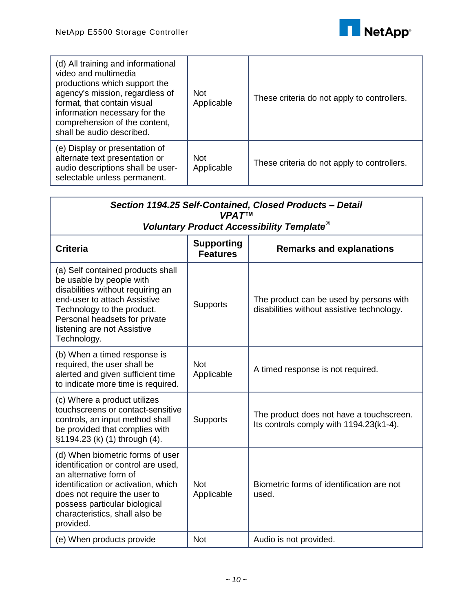

| (d) All training and informational<br>video and multimedia<br>productions which support the<br>agency's mission, regardless of<br>format, that contain visual<br>information necessary for the<br>comprehension of the content,<br>shall be audio described. | <b>Not</b><br>Applicable | These criteria do not apply to controllers. |
|--------------------------------------------------------------------------------------------------------------------------------------------------------------------------------------------------------------------------------------------------------------|--------------------------|---------------------------------------------|
| (e) Display or presentation of<br>alternate text presentation or<br>audio descriptions shall be user-<br>selectable unless permanent.                                                                                                                        | Not.<br>Applicable       | These criteria do not apply to controllers. |

| Section 1194.25 Self-Contained, Closed Products - Detail<br><b>VPAT<sup>IM</sup></b>                                                                                                                                                                     |                                      |                                                                                       |  |
|----------------------------------------------------------------------------------------------------------------------------------------------------------------------------------------------------------------------------------------------------------|--------------------------------------|---------------------------------------------------------------------------------------|--|
| Voluntary Product Accessibility Template <sup>®</sup>                                                                                                                                                                                                    |                                      |                                                                                       |  |
| <b>Criteria</b>                                                                                                                                                                                                                                          | <b>Supporting</b><br><b>Features</b> | <b>Remarks and explanations</b>                                                       |  |
| (a) Self contained products shall<br>be usable by people with<br>disabilities without requiring an<br>end-user to attach Assistive<br>Technology to the product.<br>Personal headsets for private<br>listening are not Assistive<br>Technology.          | <b>Supports</b>                      | The product can be used by persons with<br>disabilities without assistive technology. |  |
| (b) When a timed response is<br>required, the user shall be<br>alerted and given sufficient time<br>to indicate more time is required.                                                                                                                   | <b>Not</b><br>Applicable             | A timed response is not required.                                                     |  |
| (c) Where a product utilizes<br>touchscreens or contact-sensitive<br>controls, an input method shall<br>be provided that complies with<br>§1194.23 (k) (1) through (4).                                                                                  | <b>Supports</b>                      | The product does not have a touchscreen.<br>Its controls comply with 1194.23(k1-4).   |  |
| (d) When biometric forms of user<br>identification or control are used,<br>an alternative form of<br>identification or activation, which<br>does not require the user to<br>possess particular biological<br>characteristics, shall also be<br>provided. | <b>Not</b><br>Applicable             | Biometric forms of identification are not<br>used.                                    |  |
| (e) When products provide                                                                                                                                                                                                                                | <b>Not</b>                           | Audio is not provided.                                                                |  |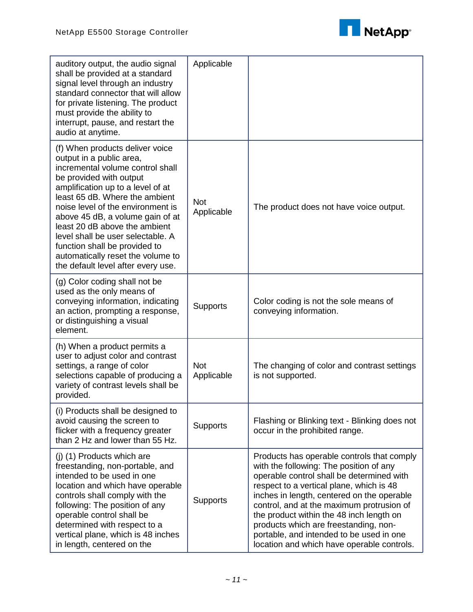

| auditory output, the audio signal<br>shall be provided at a standard<br>signal level through an industry<br>standard connector that will allow<br>for private listening. The product<br>must provide the ability to<br>interrupt, pause, and restart the<br>audio at anytime.                                                                                                                                                                                | Applicable               |                                                                                                                                                                                                                                                                                                                                                                                                                                                          |
|--------------------------------------------------------------------------------------------------------------------------------------------------------------------------------------------------------------------------------------------------------------------------------------------------------------------------------------------------------------------------------------------------------------------------------------------------------------|--------------------------|----------------------------------------------------------------------------------------------------------------------------------------------------------------------------------------------------------------------------------------------------------------------------------------------------------------------------------------------------------------------------------------------------------------------------------------------------------|
| (f) When products deliver voice<br>output in a public area,<br>incremental volume control shall<br>be provided with output<br>amplification up to a level of at<br>least 65 dB. Where the ambient<br>noise level of the environment is<br>above 45 dB, a volume gain of at<br>least 20 dB above the ambient<br>level shall be user selectable. A<br>function shall be provided to<br>automatically reset the volume to<br>the default level after every use. | <b>Not</b><br>Applicable | The product does not have voice output.                                                                                                                                                                                                                                                                                                                                                                                                                  |
| (g) Color coding shall not be<br>used as the only means of<br>conveying information, indicating<br>an action, prompting a response,<br>or distinguishing a visual<br>element.                                                                                                                                                                                                                                                                                | <b>Supports</b>          | Color coding is not the sole means of<br>conveying information.                                                                                                                                                                                                                                                                                                                                                                                          |
| (h) When a product permits a<br>user to adjust color and contrast<br>settings, a range of color<br>selections capable of producing a<br>variety of contrast levels shall be<br>provided.                                                                                                                                                                                                                                                                     | <b>Not</b><br>Applicable | The changing of color and contrast settings<br>is not supported.                                                                                                                                                                                                                                                                                                                                                                                         |
| (i) Products shall be designed to<br>avoid causing the screen to<br>flicker with a frequency greater<br>than 2 Hz and lower than 55 Hz.                                                                                                                                                                                                                                                                                                                      | <b>Supports</b>          | Flashing or Blinking text - Blinking does not<br>occur in the prohibited range.                                                                                                                                                                                                                                                                                                                                                                          |
| (i) (1) Products which are<br>freestanding, non-portable, and<br>intended to be used in one<br>location and which have operable<br>controls shall comply with the<br>following: The position of any<br>operable control shall be<br>determined with respect to a<br>vertical plane, which is 48 inches<br>in length, centered on the                                                                                                                         | <b>Supports</b>          | Products has operable controls that comply<br>with the following: The position of any<br>operable control shall be determined with<br>respect to a vertical plane, which is 48<br>inches in length, centered on the operable<br>control, and at the maximum protrusion of<br>the product within the 48 inch length on<br>products which are freestanding, non-<br>portable, and intended to be used in one<br>location and which have operable controls. |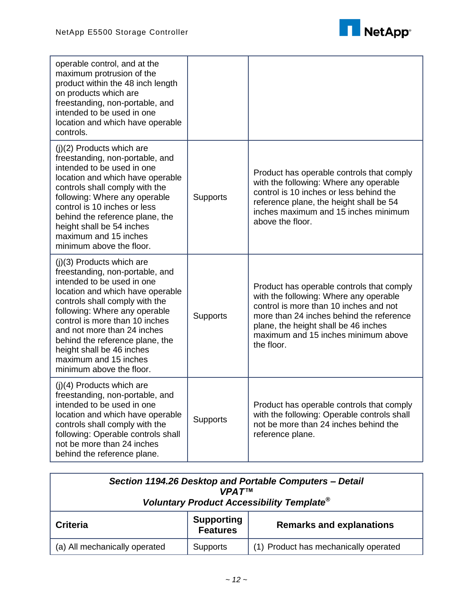

| operable control, and at the<br>maximum protrusion of the<br>product within the 48 inch length<br>on products which are<br>freestanding, non-portable, and<br>intended to be used in one<br>location and which have operable<br>controls.                                                                                                                                                 |                 |                                                                                                                                                                                                                                                                        |
|-------------------------------------------------------------------------------------------------------------------------------------------------------------------------------------------------------------------------------------------------------------------------------------------------------------------------------------------------------------------------------------------|-----------------|------------------------------------------------------------------------------------------------------------------------------------------------------------------------------------------------------------------------------------------------------------------------|
| (j)(2) Products which are<br>freestanding, non-portable, and<br>intended to be used in one<br>location and which have operable<br>controls shall comply with the<br>following: Where any operable<br>control is 10 inches or less<br>behind the reference plane, the<br>height shall be 54 inches<br>maximum and 15 inches<br>minimum above the floor.                                    | <b>Supports</b> | Product has operable controls that comply<br>with the following: Where any operable<br>control is 10 inches or less behind the<br>reference plane, the height shall be 54<br>inches maximum and 15 inches minimum<br>above the floor.                                  |
| $(i)(3)$ Products which are<br>freestanding, non-portable, and<br>intended to be used in one<br>location and which have operable<br>controls shall comply with the<br>following: Where any operable<br>control is more than 10 inches<br>and not more than 24 inches<br>behind the reference plane, the<br>height shall be 46 inches<br>maximum and 15 inches<br>minimum above the floor. | <b>Supports</b> | Product has operable controls that comply<br>with the following: Where any operable<br>control is more than 10 inches and not<br>more than 24 inches behind the reference<br>plane, the height shall be 46 inches<br>maximum and 15 inches minimum above<br>the floor. |
| $(j)(4)$ Products which are<br>freestanding, non-portable, and<br>intended to be used in one<br>location and which have operable<br>controls shall comply with the<br>following: Operable controls shall<br>not be more than 24 inches<br>behind the reference plane.                                                                                                                     | <b>Supports</b> | Product has operable controls that comply<br>with the following: Operable controls shall<br>not be more than 24 inches behind the<br>reference plane.                                                                                                                  |

| Section 1194.26 Desktop and Portable Computers - Detail<br><b>VPATTM</b><br>Voluntary Product Accessibility Template <sup>®</sup> |                                      |                                       |  |
|-----------------------------------------------------------------------------------------------------------------------------------|--------------------------------------|---------------------------------------|--|
| <b>Criteria</b>                                                                                                                   | <b>Supporting</b><br><b>Features</b> | <b>Remarks and explanations</b>       |  |
| (a) All mechanically operated                                                                                                     | <b>Supports</b>                      | (1) Product has mechanically operated |  |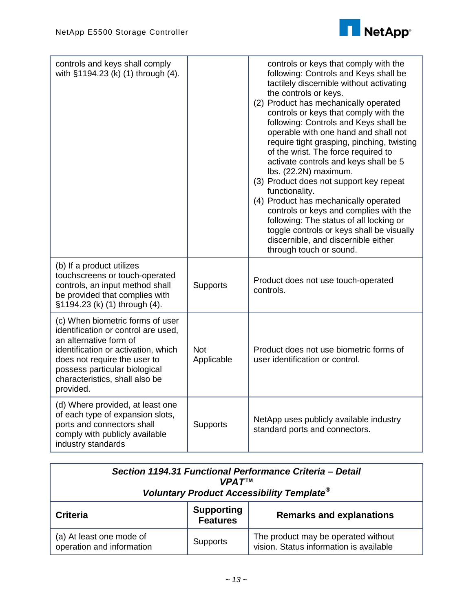

| controls and keys shall comply<br>with §1194.23 (k) (1) through (4).                                                                                                                                                                                     |                          | controls or keys that comply with the<br>following: Controls and Keys shall be<br>tactilely discernible without activating<br>the controls or keys.<br>(2) Product has mechanically operated<br>controls or keys that comply with the<br>following: Controls and Keys shall be<br>operable with one hand and shall not<br>require tight grasping, pinching, twisting<br>of the wrist. The force required to<br>activate controls and keys shall be 5<br>lbs. (22.2N) maximum.<br>(3) Product does not support key repeat<br>functionality.<br>(4) Product has mechanically operated<br>controls or keys and complies with the<br>following: The status of all locking or<br>toggle controls or keys shall be visually<br>discernible, and discernible either<br>through touch or sound. |
|----------------------------------------------------------------------------------------------------------------------------------------------------------------------------------------------------------------------------------------------------------|--------------------------|-----------------------------------------------------------------------------------------------------------------------------------------------------------------------------------------------------------------------------------------------------------------------------------------------------------------------------------------------------------------------------------------------------------------------------------------------------------------------------------------------------------------------------------------------------------------------------------------------------------------------------------------------------------------------------------------------------------------------------------------------------------------------------------------|
| (b) If a product utilizes<br>touchscreens or touch-operated<br>controls, an input method shall<br>be provided that complies with<br>§1194.23 (k) (1) through (4).                                                                                        | <b>Supports</b>          | Product does not use touch-operated<br>controls.                                                                                                                                                                                                                                                                                                                                                                                                                                                                                                                                                                                                                                                                                                                                        |
| (c) When biometric forms of user<br>identification or control are used.<br>an alternative form of<br>identification or activation, which<br>does not require the user to<br>possess particular biological<br>characteristics, shall also be<br>provided. | <b>Not</b><br>Applicable | Product does not use biometric forms of<br>user identification or control.                                                                                                                                                                                                                                                                                                                                                                                                                                                                                                                                                                                                                                                                                                              |
| (d) Where provided, at least one<br>of each type of expansion slots,<br>ports and connectors shall<br>comply with publicly available<br>industry standards                                                                                               | Supports                 | NetApp uses publicly available industry<br>standard ports and connectors.                                                                                                                                                                                                                                                                                                                                                                                                                                                                                                                                                                                                                                                                                                               |

| Section 1194.31 Functional Performance Criteria - Detail<br><b>VPAT<sub>TM</sub></b><br>Voluntary Product Accessibility Template <sup>®</sup> |                                      |                                                                                |
|-----------------------------------------------------------------------------------------------------------------------------------------------|--------------------------------------|--------------------------------------------------------------------------------|
| <b>Criteria</b>                                                                                                                               | <b>Supporting</b><br><b>Features</b> | <b>Remarks and explanations</b>                                                |
| (a) At least one mode of<br>operation and information                                                                                         | <b>Supports</b>                      | The product may be operated without<br>vision. Status information is available |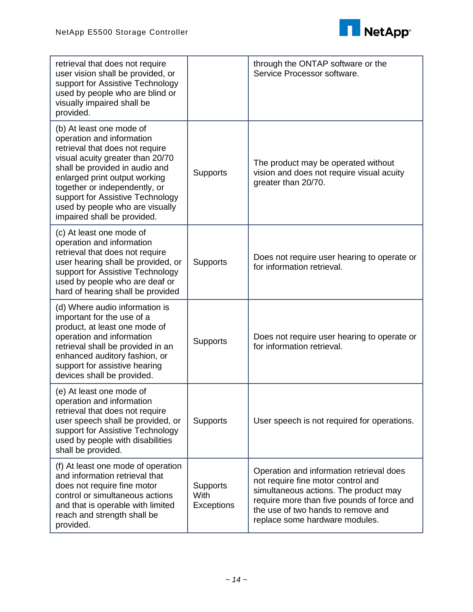

| retrieval that does not require<br>user vision shall be provided, or<br>support for Assistive Technology<br>used by people who are blind or<br>visually impaired shall be<br>provided.                                                                                                                                                 |                                       | through the ONTAP software or the<br>Service Processor software.                                                                                                                                                                              |
|----------------------------------------------------------------------------------------------------------------------------------------------------------------------------------------------------------------------------------------------------------------------------------------------------------------------------------------|---------------------------------------|-----------------------------------------------------------------------------------------------------------------------------------------------------------------------------------------------------------------------------------------------|
| (b) At least one mode of<br>operation and information<br>retrieval that does not require<br>visual acuity greater than 20/70<br>shall be provided in audio and<br>enlarged print output working<br>together or independently, or<br>support for Assistive Technology<br>used by people who are visually<br>impaired shall be provided. | <b>Supports</b>                       | The product may be operated without<br>vision and does not require visual acuity<br>greater than 20/70.                                                                                                                                       |
| (c) At least one mode of<br>operation and information<br>retrieval that does not require<br>user hearing shall be provided, or<br>support for Assistive Technology<br>used by people who are deaf or<br>hard of hearing shall be provided                                                                                              | <b>Supports</b>                       | Does not require user hearing to operate or<br>for information retrieval.                                                                                                                                                                     |
| (d) Where audio information is<br>important for the use of a<br>product, at least one mode of<br>operation and information<br>retrieval shall be provided in an<br>enhanced auditory fashion, or<br>support for assistive hearing<br>devices shall be provided.                                                                        | <b>Supports</b>                       | Does not require user hearing to operate or<br>for information retrieval.                                                                                                                                                                     |
| (e) At least one mode of<br>operation and information<br>retrieval that does not require<br>user speech shall be provided, or<br>support for Assistive Technology<br>used by people with disabilities<br>shall be provided.                                                                                                            | <b>Supports</b>                       | User speech is not required for operations.                                                                                                                                                                                                   |
| (f) At least one mode of operation<br>and information retrieval that<br>does not require fine motor<br>control or simultaneous actions<br>and that is operable with limited<br>reach and strength shall be<br>provided.                                                                                                                | <b>Supports</b><br>With<br>Exceptions | Operation and information retrieval does<br>not require fine motor control and<br>simultaneous actions. The product may<br>require more than five pounds of force and<br>the use of two hands to remove and<br>replace some hardware modules. |